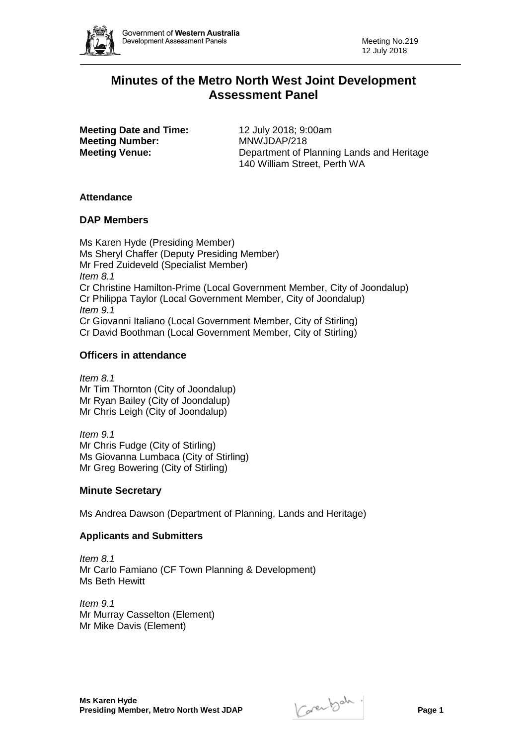

# **Minutes of the Metro North West Joint Development Assessment Panel**

**Meeting Date and Time:** 12 July 2018; 9:00am **Meeting Number:** MNWJDAP/218

**Meeting Venue:** Department of Planning Lands and Heritage 140 William Street, Perth WA

# **Attendance**

# **DAP Members**

Ms Karen Hyde (Presiding Member) Ms Sheryl Chaffer (Deputy Presiding Member) Mr Fred Zuideveld (Specialist Member) *Item 8.1* Cr Christine Hamilton-Prime (Local Government Member, City of Joondalup) Cr Philippa Taylor (Local Government Member, City of Joondalup) *Item 9.1* Cr Giovanni Italiano (Local Government Member, City of Stirling) Cr David Boothman (Local Government Member, City of Stirling)

# **Officers in attendance**

*Item 8.1* Mr Tim Thornton (City of Joondalup) Mr Ryan Bailey (City of Joondalup) Mr Chris Leigh (City of Joondalup)

*Item 9.1* Mr Chris Fudge (City of Stirling) Ms Giovanna Lumbaca (City of Stirling) Mr Greg Bowering (City of Stirling)

## **Minute Secretary**

Ms Andrea Dawson (Department of Planning, Lands and Heritage)

## **Applicants and Submitters**

*Item 8.1* Mr Carlo Famiano (CF Town Planning & Development) Ms Beth Hewitt

*Item 9.1* Mr Murray Casselton (Element) Mr Mike Davis (Element)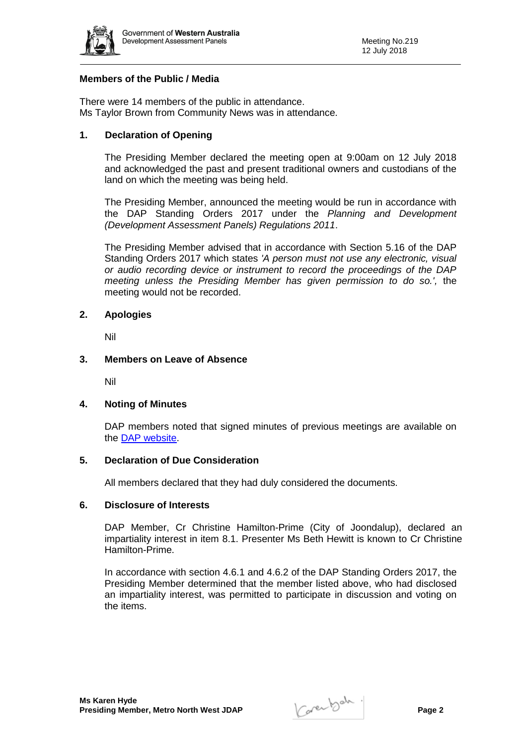

## **Members of the Public / Media**

There were 14 members of the public in attendance. Ms Taylor Brown from Community News was in attendance.

## **1. Declaration of Opening**

The Presiding Member declared the meeting open at 9:00am on 12 July 2018 and acknowledged the past and present traditional owners and custodians of the land on which the meeting was being held.

The Presiding Member, announced the meeting would be run in accordance with the DAP Standing Orders 2017 under the *Planning and Development (Development Assessment Panels) Regulations 2011*.

The Presiding Member advised that in accordance with Section 5.16 of the DAP Standing Orders 2017 which states *'A person must not use any electronic, visual or audio recording device or instrument to record the proceedings of the DAP meeting unless the Presiding Member has given permission to do so.',* the meeting would not be recorded.

#### **2. Apologies**

Nil

#### **3. Members on Leave of Absence**

Nil

#### **4. Noting of Minutes**

DAP members noted that signed minutes of previous meetings are available on the [DAP website.](https://www.planning.wa.gov.au/7578.aspx)

#### **5. Declaration of Due Consideration**

All members declared that they had duly considered the documents.

#### **6. Disclosure of Interests**

DAP Member, Cr Christine Hamilton-Prime (City of Joondalup), declared an impartiality interest in item 8.1. Presenter Ms Beth Hewitt is known to Cr Christine Hamilton-Prime.

In accordance with section 4.6.1 and 4.6.2 of the DAP Standing Orders 2017, the Presiding Member determined that the member listed above, who had disclosed an impartiality interest, was permitted to participate in discussion and voting on the items.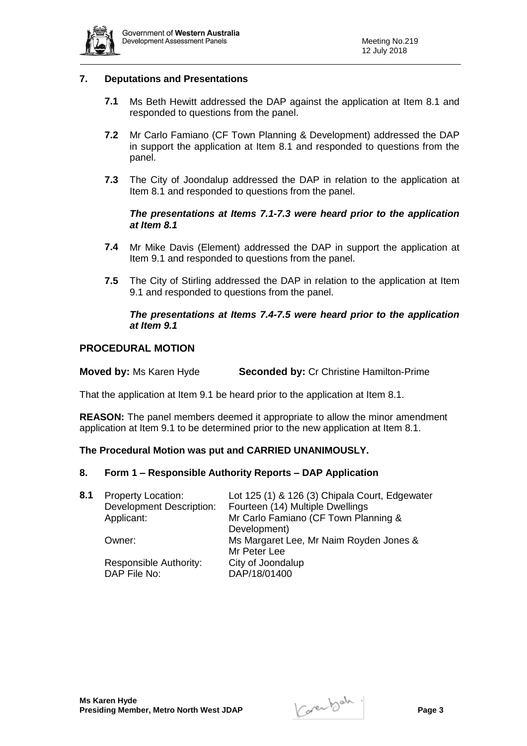

## **7. Deputations and Presentations**

- **7.1** Ms Beth Hewitt addressed the DAP against the application at Item 8.1 and responded to questions from the panel.
- **7.2** Mr Carlo Famiano (CF Town Planning & Development) addressed the DAP in support the application at Item 8.1 and responded to questions from the panel.
- **7.3** The City of Joondalup addressed the DAP in relation to the application at Item 8.1 and responded to questions from the panel.

#### *The presentations at Items 7.1-7.3 were heard prior to the application at Item 8.1*

- **7.4** Mr Mike Davis (Element) addressed the DAP in support the application at Item 9.1 and responded to questions from the panel.
- **7.5** The City of Stirling addressed the DAP in relation to the application at Item 9.1 and responded to questions from the panel.

#### *The presentations at Items 7.4-7.5 were heard prior to the application at Item 9.1*

#### **PROCEDURAL MOTION**

**Moved by:** Ms Karen Hyde **Seconded by:** Cr Christine Hamilton-Prime

That the application at Item 9.1 be heard prior to the application at Item 8.1.

**REASON:** The panel members deemed it appropriate to allow the minor amendment application at Item 9.1 to be determined prior to the new application at Item 8.1.

#### **The Procedural Motion was put and CARRIED UNANIMOUSLY.**

#### **8. Form 1 – Responsible Authority Reports – DAP Application**

| 8.1 | <b>Property Location:</b><br><b>Development Description:</b><br>Applicant: | Lot 125 (1) & 126 (3) Chipala Court, Edgewater<br>Fourteen (14) Multiple Dwellings<br>Mr Carlo Famiano (CF Town Planning &<br>Development) |
|-----|----------------------------------------------------------------------------|--------------------------------------------------------------------------------------------------------------------------------------------|
|     | Owner:                                                                     | Ms Margaret Lee, Mr Naim Royden Jones &<br>Mr Peter Lee                                                                                    |
|     | Responsible Authority:<br>DAP File No:                                     | City of Joondalup<br>DAP/18/01400                                                                                                          |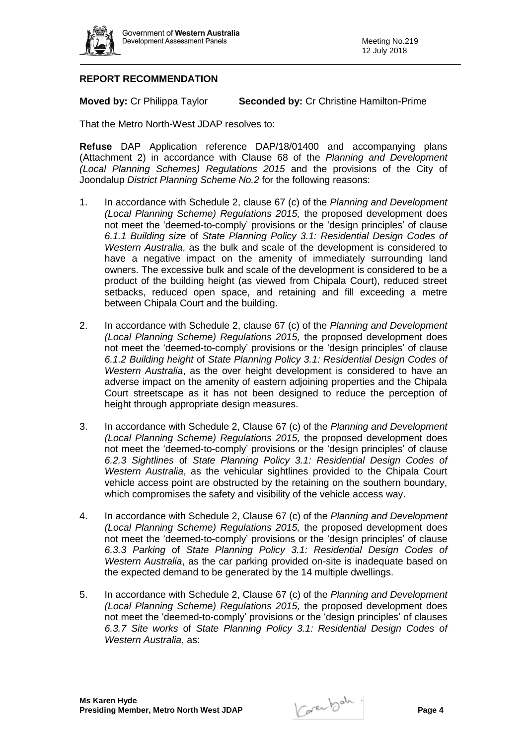

# **REPORT RECOMMENDATION**

**Moved by:** Cr Philippa Taylor **Seconded by:** Cr Christine Hamilton-Prime

That the Metro North-West JDAP resolves to:

**Refuse** DAP Application reference DAP/18/01400 and accompanying plans (Attachment 2) in accordance with Clause 68 of the *Planning and Development (Local Planning Schemes) Regulations 2015* and the provisions of the City of Joondalup *District Planning Scheme No.2* for the following reasons:

- 1. In accordance with Schedule 2, clause 67 (c) of the *Planning and Development (Local Planning Scheme) Regulations 2015,* the proposed development does not meet the 'deemed-to-comply' provisions or the 'design principles' of clause *6.1.1 Building size* of *State Planning Policy 3.1: Residential Design Codes of Western Australia*, as the bulk and scale of the development is considered to have a negative impact on the amenity of immediately surrounding land owners. The excessive bulk and scale of the development is considered to be a product of the building height (as viewed from Chipala Court), reduced street setbacks, reduced open space, and retaining and fill exceeding a metre between Chipala Court and the building.
- 2. In accordance with Schedule 2, clause 67 (c) of the *Planning and Development (Local Planning Scheme) Regulations 2015,* the proposed development does not meet the 'deemed-to-comply' provisions or the 'design principles' of clause *6.1.2 Building height* of *State Planning Policy 3.1: Residential Design Codes of Western Australia*, as the over height development is considered to have an adverse impact on the amenity of eastern adjoining properties and the Chipala Court streetscape as it has not been designed to reduce the perception of height through appropriate design measures.
- 3. In accordance with Schedule 2, Clause 67 (c) of the *Planning and Development (Local Planning Scheme) Regulations 2015,* the proposed development does not meet the 'deemed-to-comply' provisions or the 'design principles' of clause *6.2.3 Sightlines* of *State Planning Policy 3.1: Residential Design Codes of Western Australia*, as the vehicular sightlines provided to the Chipala Court vehicle access point are obstructed by the retaining on the southern boundary, which compromises the safety and visibility of the vehicle access way.
- 4. In accordance with Schedule 2, Clause 67 (c) of the *Planning and Development (Local Planning Scheme) Regulations 2015,* the proposed development does not meet the 'deemed-to-comply' provisions or the 'design principles' of clause *6.3.3 Parking* of *State Planning Policy 3.1: Residential Design Codes of Western Australia*, as the car parking provided on-site is inadequate based on the expected demand to be generated by the 14 multiple dwellings.
- 5. In accordance with Schedule 2, Clause 67 (c) of the *Planning and Development (Local Planning Scheme) Regulations 2015,* the proposed development does not meet the 'deemed-to-comply' provisions or the 'design principles' of clauses *6.3.7 Site works* of *State Planning Policy 3.1: Residential Design Codes of Western Australia*, as: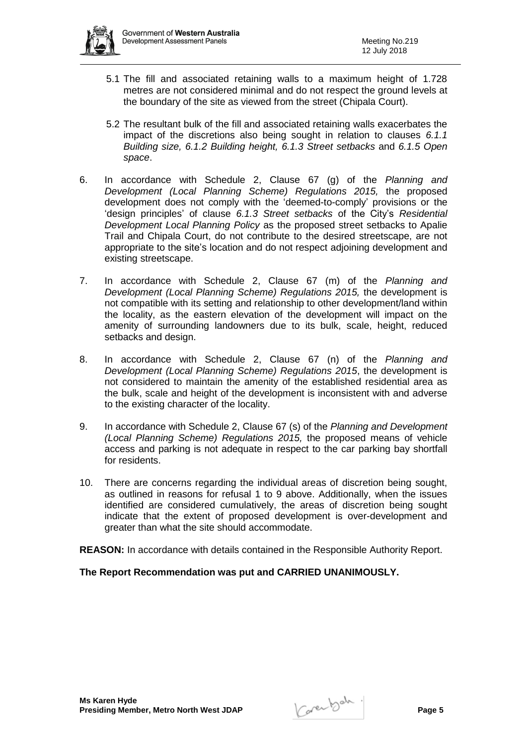

- 5.1 The fill and associated retaining walls to a maximum height of 1.728 metres are not considered minimal and do not respect the ground levels at the boundary of the site as viewed from the street (Chipala Court).
- 5.2 The resultant bulk of the fill and associated retaining walls exacerbates the impact of the discretions also being sought in relation to clauses *6.1.1 Building size, 6.1.2 Building height, 6.1.3 Street setbacks* and *6.1.5 Open space*.
- 6. In accordance with Schedule 2, Clause 67 (g) of the *Planning and Development (Local Planning Scheme) Regulations 2015,* the proposed development does not comply with the 'deemed-to-comply' provisions or the 'design principles' of clause *6.1.3 Street setbacks* of the City's *Residential Development Local Planning Policy* as the proposed street setbacks to Apalie Trail and Chipala Court, do not contribute to the desired streetscape, are not appropriate to the site's location and do not respect adjoining development and existing streetscape.
- 7. In accordance with Schedule 2, Clause 67 (m) of the *Planning and Development (Local Planning Scheme) Regulations 2015,* the development is not compatible with its setting and relationship to other development/land within the locality, as the eastern elevation of the development will impact on the amenity of surrounding landowners due to its bulk, scale, height, reduced setbacks and design.
- 8. In accordance with Schedule 2, Clause 67 (n) of the *Planning and Development (Local Planning Scheme) Regulations 2015*, the development is not considered to maintain the amenity of the established residential area as the bulk, scale and height of the development is inconsistent with and adverse to the existing character of the locality.
- 9. In accordance with Schedule 2, Clause 67 (s) of the *Planning and Development (Local Planning Scheme) Regulations 2015,* the proposed means of vehicle access and parking is not adequate in respect to the car parking bay shortfall for residents.
- 10. There are concerns regarding the individual areas of discretion being sought, as outlined in reasons for refusal 1 to 9 above. Additionally, when the issues identified are considered cumulatively, the areas of discretion being sought indicate that the extent of proposed development is over-development and greater than what the site should accommodate.

**REASON:** In accordance with details contained in the Responsible Authority Report.

## **The Report Recommendation was put and CARRIED UNANIMOUSLY.**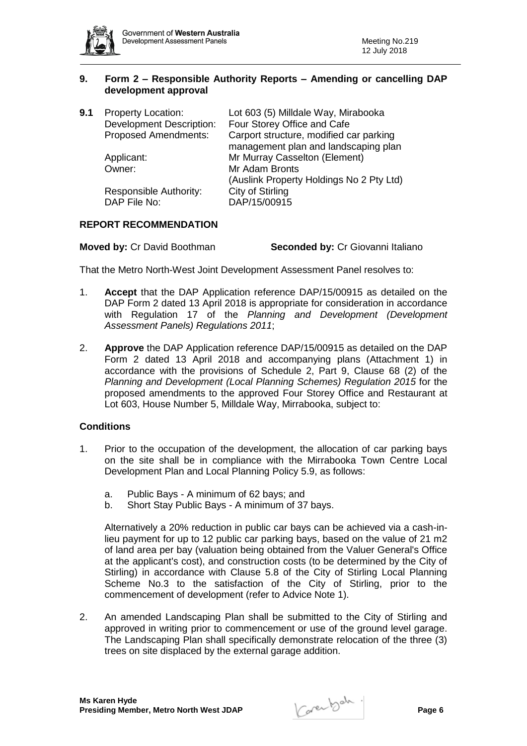

## **9. Form 2 – Responsible Authority Reports – Amending or cancelling DAP development approval**

| <b>Property Location:</b>       | Lot 603 (5) Milldale Way, Mirabooka      |
|---------------------------------|------------------------------------------|
| <b>Development Description:</b> | Four Storey Office and Cafe              |
| Proposed Amendments:            | Carport structure, modified car parking  |
|                                 | management plan and landscaping plan     |
| Applicant:                      | Mr Murray Casselton (Element)            |
| Owner:                          | Mr Adam Bronts                           |
|                                 | (Auslink Property Holdings No 2 Pty Ltd) |
| Responsible Authority:          | City of Stirling                         |
| DAP File No:                    | DAP/15/00915                             |
|                                 |                                          |

## **REPORT RECOMMENDATION**

That the Metro North-West Joint Development Assessment Panel resolves to:

- 1. **Accept** that the DAP Application reference DAP/15/00915 as detailed on the DAP Form 2 dated 13 April 2018 is appropriate for consideration in accordance with Regulation 17 of the *Planning and Development (Development Assessment Panels) Regulations 2011*;
- 2. **Approve** the DAP Application reference DAP/15/00915 as detailed on the DAP Form 2 dated 13 April 2018 and accompanying plans (Attachment 1) in accordance with the provisions of Schedule 2, Part 9, Clause 68 (2) of the *Planning and Development (Local Planning Schemes) Regulation 2015* for the proposed amendments to the approved Four Storey Office and Restaurant at Lot 603, House Number 5, Milldale Way, Mirrabooka, subject to:

# **Conditions**

- 1. Prior to the occupation of the development, the allocation of car parking bays on the site shall be in compliance with the Mirrabooka Town Centre Local Development Plan and Local Planning Policy 5.9, as follows:
	- a. Public Bays A minimum of 62 bays; and
	- b. Short Stay Public Bays A minimum of 37 bays.

Alternatively a 20% reduction in public car bays can be achieved via a cash-inlieu payment for up to 12 public car parking bays, based on the value of 21 m2 of land area per bay (valuation being obtained from the Valuer General's Office at the applicant's cost), and construction costs (to be determined by the City of Stirling) in accordance with Clause 5.8 of the City of Stirling Local Planning Scheme No.3 to the satisfaction of the City of Stirling, prior to the commencement of development (refer to Advice Note 1).

2. An amended Landscaping Plan shall be submitted to the City of Stirling and approved in writing prior to commencement or use of the ground level garage. The Landscaping Plan shall specifically demonstrate relocation of the three (3) trees on site displaced by the external garage addition.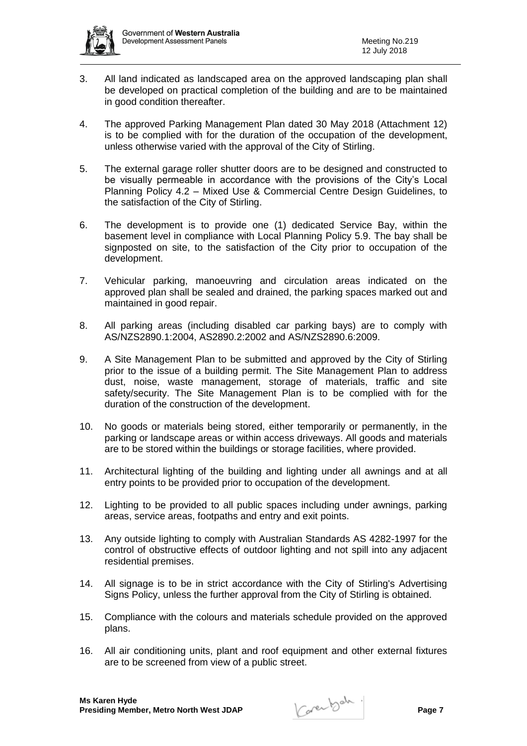

- 3. All land indicated as landscaped area on the approved landscaping plan shall be developed on practical completion of the building and are to be maintained in good condition thereafter.
- 4. The approved Parking Management Plan dated 30 May 2018 (Attachment 12) is to be complied with for the duration of the occupation of the development, unless otherwise varied with the approval of the City of Stirling.
- 5. The external garage roller shutter doors are to be designed and constructed to be visually permeable in accordance with the provisions of the City's Local Planning Policy 4.2 – Mixed Use & Commercial Centre Design Guidelines, to the satisfaction of the City of Stirling.
- 6. The development is to provide one (1) dedicated Service Bay, within the basement level in compliance with Local Planning Policy 5.9. The bay shall be signposted on site, to the satisfaction of the City prior to occupation of the development.
- 7. Vehicular parking, manoeuvring and circulation areas indicated on the approved plan shall be sealed and drained, the parking spaces marked out and maintained in good repair.
- 8. All parking areas (including disabled car parking bays) are to comply with AS/NZS2890.1:2004, AS2890.2:2002 and AS/NZS2890.6:2009.
- 9. A Site Management Plan to be submitted and approved by the City of Stirling prior to the issue of a building permit. The Site Management Plan to address dust, noise, waste management, storage of materials, traffic and site safety/security. The Site Management Plan is to be complied with for the duration of the construction of the development.
- 10. No goods or materials being stored, either temporarily or permanently, in the parking or landscape areas or within access driveways. All goods and materials are to be stored within the buildings or storage facilities, where provided.
- 11. Architectural lighting of the building and lighting under all awnings and at all entry points to be provided prior to occupation of the development.
- 12. Lighting to be provided to all public spaces including under awnings, parking areas, service areas, footpaths and entry and exit points.
- 13. Any outside lighting to comply with Australian Standards AS 4282-1997 for the control of obstructive effects of outdoor lighting and not spill into any adjacent residential premises.
- 14. All signage is to be in strict accordance with the City of Stirling's Advertising Signs Policy, unless the further approval from the City of Stirling is obtained.
- 15. Compliance with the colours and materials schedule provided on the approved plans.
- 16. All air conditioning units, plant and roof equipment and other external fixtures are to be screened from view of a public street.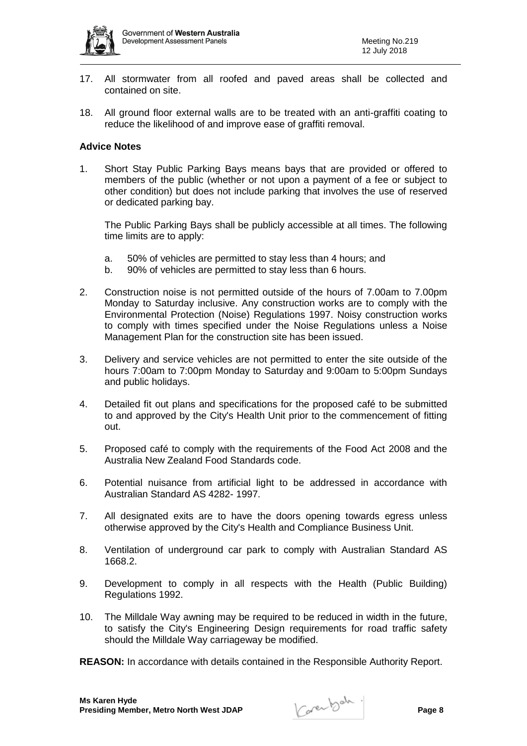

- 17. All stormwater from all roofed and paved areas shall be collected and contained on site.
- 18. All ground floor external walls are to be treated with an anti-graffiti coating to reduce the likelihood of and improve ease of graffiti removal.

#### **Advice Notes**

1. Short Stay Public Parking Bays means bays that are provided or offered to members of the public (whether or not upon a payment of a fee or subject to other condition) but does not include parking that involves the use of reserved or dedicated parking bay.

The Public Parking Bays shall be publicly accessible at all times. The following time limits are to apply:

- a. 50% of vehicles are permitted to stay less than 4 hours; and
- b. 90% of vehicles are permitted to stay less than 6 hours.
- 2. Construction noise is not permitted outside of the hours of 7.00am to 7.00pm Monday to Saturday inclusive. Any construction works are to comply with the Environmental Protection (Noise) Regulations 1997. Noisy construction works to comply with times specified under the Noise Regulations unless a Noise Management Plan for the construction site has been issued.
- 3. Delivery and service vehicles are not permitted to enter the site outside of the hours 7:00am to 7:00pm Monday to Saturday and 9:00am to 5:00pm Sundays and public holidays.
- 4. Detailed fit out plans and specifications for the proposed café to be submitted to and approved by the City's Health Unit prior to the commencement of fitting out.
- 5. Proposed café to comply with the requirements of the Food Act 2008 and the Australia New Zealand Food Standards code.
- 6. Potential nuisance from artificial light to be addressed in accordance with Australian Standard AS 4282- 1997.
- 7. All designated exits are to have the doors opening towards egress unless otherwise approved by the City's Health and Compliance Business Unit.
- 8. Ventilation of underground car park to comply with Australian Standard AS 1668.2.
- 9. Development to comply in all respects with the Health (Public Building) Regulations 1992.
- 10. The Milldale Way awning may be required to be reduced in width in the future, to satisfy the City's Engineering Design requirements for road traffic safety should the Milldale Way carriageway be modified.

**REASON:** In accordance with details contained in the Responsible Authority Report.